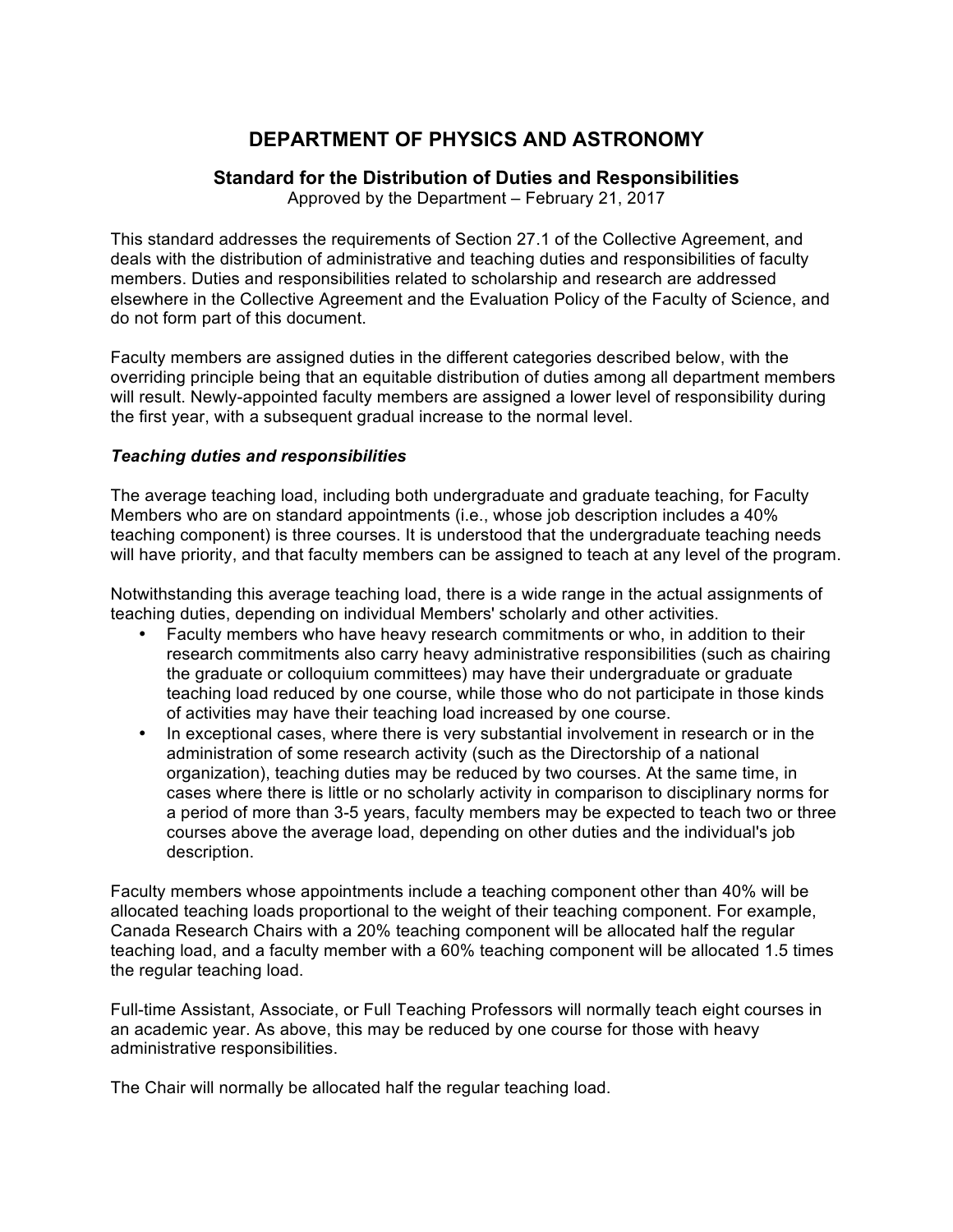# **DEPARTMENT OF PHYSICS AND ASTRONOMY**

# **Standard for the Distribution of Duties and Responsibilities**

Approved by the Department – February 21, 2017

This standard addresses the requirements of Section 27.1 of the Collective Agreement, and deals with the distribution of administrative and teaching duties and responsibilities of faculty members. Duties and responsibilities related to scholarship and research are addressed elsewhere in the Collective Agreement and the Evaluation Policy of the Faculty of Science, and do not form part of this document.

Faculty members are assigned duties in the different categories described below, with the overriding principle being that an equitable distribution of duties among all department members will result. Newly-appointed faculty members are assigned a lower level of responsibility during the first year, with a subsequent gradual increase to the normal level.

## *Teaching duties and responsibilities*

The average teaching load, including both undergraduate and graduate teaching, for Faculty Members who are on standard appointments (i.e., whose job description includes a 40% teaching component) is three courses. It is understood that the undergraduate teaching needs will have priority, and that faculty members can be assigned to teach at any level of the program.

Notwithstanding this average teaching load, there is a wide range in the actual assignments of teaching duties, depending on individual Members' scholarly and other activities.

- Faculty members who have heavy research commitments or who, in addition to their research commitments also carry heavy administrative responsibilities (such as chairing the graduate or colloquium committees) may have their undergraduate or graduate teaching load reduced by one course, while those who do not participate in those kinds of activities may have their teaching load increased by one course.
- In exceptional cases, where there is very substantial involvement in research or in the administration of some research activity (such as the Directorship of a national organization), teaching duties may be reduced by two courses. At the same time, in cases where there is little or no scholarly activity in comparison to disciplinary norms for a period of more than 3-5 years, faculty members may be expected to teach two or three courses above the average load, depending on other duties and the individual's job description.

Faculty members whose appointments include a teaching component other than 40% will be allocated teaching loads proportional to the weight of their teaching component. For example, Canada Research Chairs with a 20% teaching component will be allocated half the regular teaching load, and a faculty member with a 60% teaching component will be allocated 1.5 times the regular teaching load.

Full-time Assistant, Associate, or Full Teaching Professors will normally teach eight courses in an academic year. As above, this may be reduced by one course for those with heavy administrative responsibilities.

The Chair will normally be allocated half the regular teaching load.